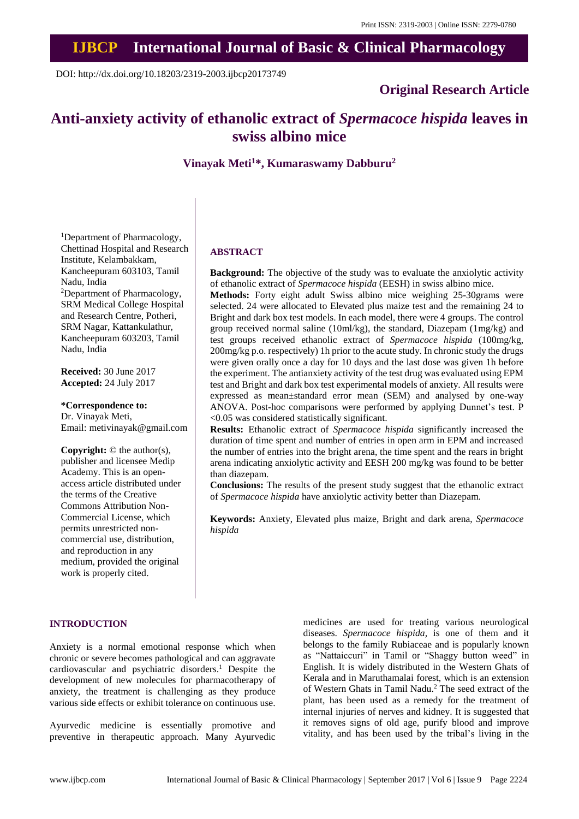## **IJBCP International Journal of Basic & Clinical Pharmacology**

DOI: http://dx.doi.org/10.18203/2319-2003.ijbcp20173749

## **Original Research Article**

# **Anti-anxiety activity of ethanolic extract of** *Spermacoce hispida* **leaves in swiss albino mice**

**Vinayak Meti<sup>1</sup>\*, Kumaraswamy Dabburu<sup>2</sup>**

<sup>1</sup>Department of Pharmacology, Chettinad Hospital and Research Institute, Kelambakkam, Kancheepuram 603103, Tamil Nadu, India <sup>2</sup>Department of Pharmacology, SRM Medical College Hospital and Research Centre, Potheri, SRM Nagar, Kattankulathur, Kancheepuram 603203, Tamil Nadu, India

**Received:** 30 June 2017 **Accepted:** 24 July 2017

**\*Correspondence to:** Dr. Vinayak Meti, Email: metivinayak@gmail.com

**Copyright:** © the author(s), publisher and licensee Medip Academy. This is an openaccess article distributed under the terms of the Creative Commons Attribution Non-Commercial License, which permits unrestricted noncommercial use, distribution, and reproduction in any medium, provided the original work is properly cited.

### **ABSTRACT**

**Background:** The objective of the study was to evaluate the anxiolytic activity of ethanolic extract of *Spermacoce hispida* (EESH) in swiss albino mice.

**Methods:** Forty eight adult Swiss albino mice weighing 25-30grams were selected. 24 were allocated to Elevated plus maize test and the remaining 24 to Bright and dark box test models. In each model, there were 4 groups. The control group received normal saline (10ml/kg), the standard, Diazepam (1mg/kg) and test groups received ethanolic extract of *Spermacoce hispida* (100mg/kg, 200mg/kg p.o. respectively) 1h prior to the acute study. In chronic study the drugs were given orally once a day for 10 days and the last dose was given 1h before the experiment. The antianxiety activity of the test drug was evaluated using EPM test and Bright and dark box test experimental models of anxiety. All results were expressed as mean±standard error mean (SEM) and analysed by one-way ANOVA. Post-hoc comparisons were performed by applying Dunnet's test. P <0.05 was considered statistically significant.

**Results:** Ethanolic extract of *Spermacoce hispida* significantly increased the duration of time spent and number of entries in open arm in EPM and increased the number of entries into the bright arena, the time spent and the rears in bright arena indicating anxiolytic activity and EESH 200 mg/kg was found to be better than diazepam.

**Conclusions:** The results of the present study suggest that the ethanolic extract of *Spermacoce hispida* have anxiolytic activity better than Diazepam.

**Keywords:** Anxiety, Elevated plus maize, Bright and dark arena, *Spermacoce hispida*

#### **INTRODUCTION**

Anxiety is a normal emotional response which when chronic or severe becomes pathological and can aggravate cardiovascular and psychiatric disorders.<sup>1</sup> Despite the development of new molecules for pharmacotherapy of anxiety, the treatment is challenging as they produce various side effects or exhibit tolerance on continuous use.

Ayurvedic medicine is essentially promotive and preventive in therapeutic approach. Many Ayurvedic

medicines are used for treating various neurological diseases. *Spermacoce hispida,* is one of them and it belongs to the family Rubiaceae and is popularly known as "Nattaiccuri" in Tamil or "Shaggy button weed" in English. It is widely distributed in the Western Ghats of Kerala and in Maruthamalai forest, which is an extension of Western Ghats in Tamil Nadu.<sup>2</sup> The seed extract of the plant, has been used as a remedy for the treatment of internal injuries of nerves and kidney. It is suggested that it removes signs of old age, purify blood and improve vitality, and has been used by the tribal's living in the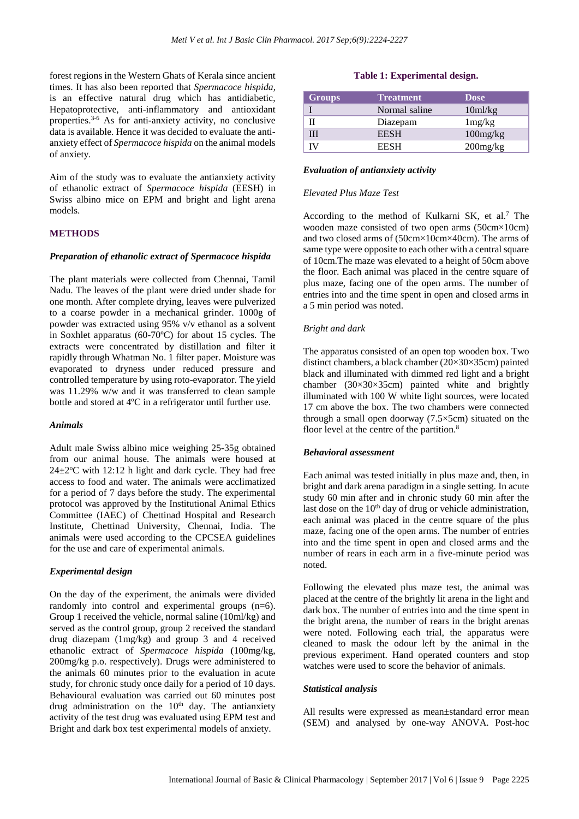forest regions in the Western Ghats of Kerala since ancient times. It has also been reported that *Spermacoce hispida,* is an effective natural drug which has antidiabetic, Hepatoprotective, anti-inflammatory and antioxidant properties. 3-6 As for anti-anxiety activity, no conclusive data is available. Hence it was decided to evaluate the antianxiety effect of *Spermacoce hispida* on the animal models of anxiety.

Aim of the study was to evaluate the antianxiety activity of ethanolic extract of *Spermacoce hispida* (EESH) in Swiss albino mice on EPM and bright and light arena models.

## **METHODS**

#### *Preparation of ethanolic extract of Spermacoce hispida*

The plant materials were collected from Chennai, Tamil Nadu. The leaves of the plant were dried under shade for one month. After complete drying, leaves were pulverized to a coarse powder in a mechanical grinder. 1000g of powder was extracted using 95% v/v ethanol as a solvent in Soxhlet apparatus (60-70ºC) for about 15 cycles. The extracts were concentrated by distillation and filter it rapidly through Whatman No. 1 filter paper. Moisture was evaporated to dryness under reduced pressure and controlled temperature by using roto-evaporator. The yield was 11.29% w/w and it was transferred to clean sample bottle and stored at 4ºC in a refrigerator until further use.

#### *Animals*

Adult male Swiss albino mice weighing 25-35g obtained from our animal house. The animals were housed at  $24\pm2$ <sup>o</sup>C with 12:12 h light and dark cycle. They had free access to food and water. The animals were acclimatized for a period of 7 days before the study. The experimental protocol was approved by the Institutional Animal Ethics Committee (IAEC) of Chettinad Hospital and Research Institute, Chettinad University, Chennai, India. The animals were used according to the CPCSEA guidelines for the use and care of experimental animals.

#### *Experimental design*

On the day of the experiment, the animals were divided randomly into control and experimental groups (n=6). Group 1 received the vehicle, normal saline (10ml/kg) and served as the control group, group 2 received the standard drug diazepam (1mg/kg) and group 3 and 4 received ethanolic extract of *Spermacoce hispida* (100mg/kg, 200mg/kg p.o. respectively). Drugs were administered to the animals 60 minutes prior to the evaluation in acute study, for chronic study once daily for a period of 10 days. Behavioural evaluation was carried out 60 minutes post drug administration on the  $10<sup>th</sup>$  day. The antianxiety activity of the test drug was evaluated using EPM test and Bright and dark box test experimental models of anxiety.

## **Table 1: Experimental design.**

| <b>Groups</b> | <b>Treatment</b> | <b>Dose</b>    |
|---------------|------------------|----------------|
|               | Normal saline    | 10ml/kg        |
|               | Diazepam         | 1mg/kg         |
| Ш             | <b>EESH</b>      | 100mg/kg       |
|               | <b>EESH</b>      | $200$ mg/ $kg$ |

#### *Evaluation of antianxiety activity*

#### *Elevated Plus Maze Test*

According to the method of Kulkarni SK, et al. <sup>7</sup> The wooden maze consisted of two open arms (50cm×10cm) and two closed arms of (50cm×10cm×40cm). The arms of same type were opposite to each other with a central square of 10cm.The maze was elevated to a height of 50cm above the floor. Each animal was placed in the centre square of plus maze, facing one of the open arms. The number of entries into and the time spent in open and closed arms in a 5 min period was noted.

#### *Bright and dark*

The apparatus consisted of an open top wooden box. Two distinct chambers, a black chamber (20×30×35cm) painted black and illuminated with dimmed red light and a bright chamber  $(30\times30\times35cm)$  painted white and brightly illuminated with 100 W white light sources, were located 17 cm above the box. The two chambers were connected through a small open doorway (7.5×5cm) situated on the floor level at the centre of the partition.<sup>8</sup>

#### *Behavioral assessment*

Each animal was tested initially in plus maze and, then, in bright and dark arena paradigm in a single setting. In acute study 60 min after and in chronic study 60 min after the last dose on the  $10<sup>th</sup>$  day of drug or vehicle administration, each animal was placed in the centre square of the plus maze, facing one of the open arms. The number of entries into and the time spent in open and closed arms and the number of rears in each arm in a five-minute period was noted.

Following the elevated plus maze test, the animal was placed at the centre of the brightly lit arena in the light and dark box. The number of entries into and the time spent in the bright arena, the number of rears in the bright arenas were noted. Following each trial, the apparatus were cleaned to mask the odour left by the animal in the previous experiment. Hand operated counters and stop watches were used to score the behavior of animals.

#### *Statistical analysis*

All results were expressed as mean±standard error mean (SEM) and analysed by one-way ANOVA. Post-hoc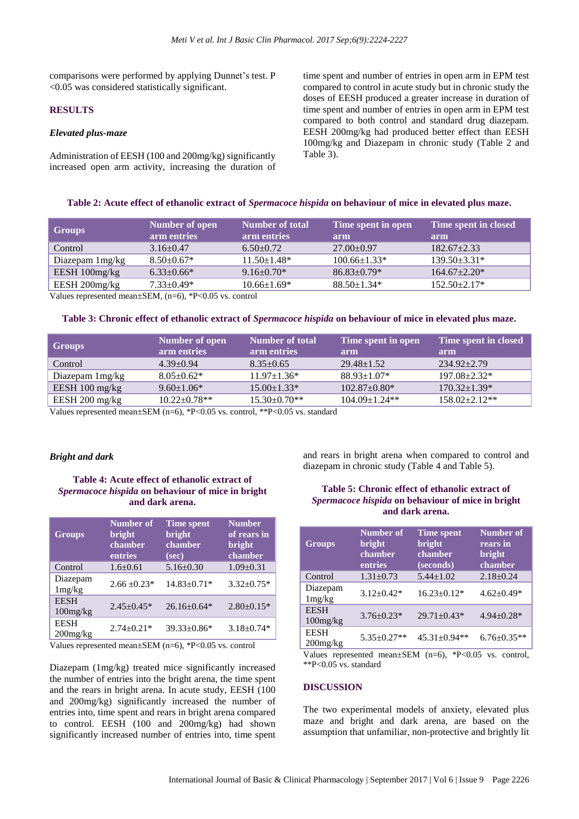comparisons were performed by applying Dunnet's test. P <0.05 was considered statistically significant.

#### **RESULTS**

### *Elevated plus-maze*

Administration of EESH (100 and 200mg/kg) significantly increased open arm activity, increasing the duration of time spent and number of entries in open arm in EPM test compared to control in acute study but in chronic study the doses of EESH produced a greater increase in duration of time spent and number of entries in open arm in EPM test compared to both control and standard drug diazepam. EESH 200mg/kg had produced better effect than EESH 100mg/kg and Diazepam in chronic study (Table 2 and Table 3).

#### **Table 2: Acute effect of ethanolic extract of** *Spermacoce hispida* **on behaviour of mice in elevated plus maze.**

| Groups            | Number of open<br>arm entries | <b>Number of total</b><br>arm entries | Time spent in open<br>arm | Time spent in closed<br>arm |
|-------------------|-------------------------------|---------------------------------------|---------------------------|-----------------------------|
| Control           | $3.16 \pm 0.47$               | $6.50+0.72$                           | $27.00+0.97$              | $182.67+2.33$               |
| Diazepam $1mg/kg$ | $8.50\pm0.67*$                | $11.50 \pm 1.48*$                     | $100.66 \pm 1.33*$        | $139.50 \pm 3.31*$          |
| EESH 100mg/kg     | $6.33+0.66*$                  | $9.16 \pm 0.70$ *                     | $86.83 \pm 0.79*$         | $164.67 \pm 2.20*$          |
| EESH 200mg/kg     | $7.33 \pm 0.49*$              | $10.66 \pm 1.69*$                     | $88.50 \pm 1.34*$         | $152.50 \pm 2.17*$          |

Values represented mean±SEM, (n=6), \*P<0.05 vs. control

#### **Table 3: Chronic effect of ethanolic extract of** *Spermacoce hispida* **on behaviour of mice in elevated plus maze.**

| <b>Groups</b>            | <b>Number of open</b><br>arm entries | <b>Number of total</b><br>arm entries | Time spent in open<br>arm | Time spent in closed<br>arm |
|--------------------------|--------------------------------------|---------------------------------------|---------------------------|-----------------------------|
| Control                  | $4.39 \pm 0.94$                      | $8.35 \pm 0.65$                       | $29.48 \pm 1.52$          | $234.92 + 2.79$             |
| Diazepam $1mg/kg$        | $8.05 \pm 0.62$ *                    | $11.97 \pm 1.36*$                     | $88.93 \pm 1.07*$         | $197.08 \pm 2.32*$          |
| EESH $100 \text{ mg/kg}$ | $9.60 \pm 1.06*$                     | $15.00 \pm 1.33*$                     | $102.87 \pm 0.80*$        | $170.32 \pm 1.39*$          |
| EESH 200 mg/kg           | $10.22 \pm 0.78$ **                  | $15.30\pm0.70**$                      | $104.09 \pm 1.24$ **      | $158.02 + 2.12**$           |

Values represented mean $\pm$ SEM (n=6), \*P<0.05 vs. control, \*\*P<0.05 vs. standard

#### *Bright and dark*

## **Table 4: Acute effect of ethanolic extract of**  *Spermacoce hispida* **on behaviour of mice in bright and dark arena.**

| <b>Groups</b>                 | Number of<br>bright<br>chamber<br>entries | <b>Time spent</b><br>bright<br>chamber<br>(sec) | <b>Number</b><br>of rears in<br>bright<br>chamber |
|-------------------------------|-------------------------------------------|-------------------------------------------------|---------------------------------------------------|
| Control                       | $1.6 \pm 0.61$                            | $5.16 \pm 0.30$                                 | $1.09 \pm 0.31$                                   |
| Diazepam<br>1mg/kg            | $2.66 \pm 0.23*$                          | $14.83 \pm 0.71*$                               | $3.32 \pm 0.75*$                                  |
| <b>EESH</b><br>100mg/kg       | $2.45 + 0.45*$                            | $26.16 + 0.64*$                                 | $2.80 \pm 0.15*$                                  |
| <b>EESH</b><br>$200$ mg/ $kg$ | $2.74 \pm 0.21*$                          | $39.33 \pm 0.86*$                               | $3.18 \pm 0.74*$                                  |
|                               |                                           |                                                 |                                                   |

Values represented mean $\pm$ SEM (n=6), \*P<0.05 vs. control

Diazepam (1mg/kg) treated mice significantly increased the number of entries into the bright arena, the time spent and the rears in bright arena. In acute study, EESH (100 and 200mg/kg) significantly increased the number of entries into, time spent and rears in bright arena compared to control. EESH (100 and 200mg/kg) had shown significantly increased number of entries into, time spent

and rears in bright arena when compared to control and diazepam in chronic study (Table 4 and Table 5).

## **Table 5: Chronic effect of ethanolic extract of**  *Spermacoce hispida* **on behaviour of mice in bright and dark arena.**

| <b>Groups</b>              | <b>Number of</b><br><b>bright</b><br>chamber<br>entries | <b>Time spent</b><br><b>bright</b><br>chamber<br>(seconds) | <b>Number of</b><br>rears in<br><b>bright</b><br>chamber |
|----------------------------|---------------------------------------------------------|------------------------------------------------------------|----------------------------------------------------------|
| Control                    | $1.31 \pm 0.73$                                         | $5.44 \pm 1.02$                                            | $2.18 \pm 0.24$                                          |
| Diazepam<br>1mg/kg         | $3.12 + 0.42*$                                          | $16.23 \pm 0.12*$                                          | $4.62 \pm 0.49*$                                         |
| <b>EESH</b><br>100mg/kg    | $3.76 \pm 0.23*$                                        | $29.71 + 0.43*$                                            | $4.94 + 0.28*$                                           |
| <b>EESH</b><br>$200$ mg/kg | $5.35 \pm 0.27**$                                       | 45.31±0.94**                                               | $6.76 \pm 0.35**$                                        |
| -- -                       |                                                         | $\sim$<br>$\sim$ $\sim$ $\sim$ $\sim$                      |                                                          |

Values represented mean $\pm$ SEM (n=6), \*P<0.05 vs. control, \*\*P<0.05 vs. standard

#### **DISCUSSION**

The two experimental models of anxiety, elevated plus maze and bright and dark arena, are based on the assumption that unfamiliar, non-protective and brightly lit